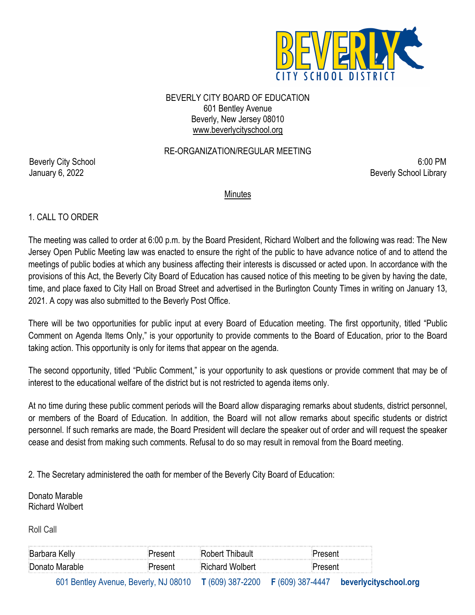

BEVERLY CITY BOARD OF EDUCATION 601 Bentley Avenue Beverly, New Jersey 08010 www.beverlycityschool.org

### RE-ORGANIZATION/REGULAR MEETING

Beverly City School 6:00 PM January 6, 2022 **Beverly School Library** 

#### Minutes

#### 1. CALL TO ORDER

The meeting was called to order at 6:00 p.m. by the Board President, Richard Wolbert and the following was read: The New Jersey Open Public Meeting law was enacted to ensure the right of the public to have advance notice of and to attend the meetings of public bodies at which any business affecting their interests is discussed or acted upon. In accordance with the provisions of this Act, the Beverly City Board of Education has caused notice of this meeting to be given by having the date, time, and place faxed to City Hall on Broad Street and advertised in the Burlington County Times in writing on January 13, 2021. A copy was also submitted to the Beverly Post Office.

There will be two opportunities for public input at every Board of Education meeting. The first opportunity, titled "Public Comment on Agenda Items Only," is your opportunity to provide comments to the Board of Education, prior to the Board taking action. This opportunity is only for items that appear on the agenda.

The second opportunity, titled "Public Comment," is your opportunity to ask questions or provide comment that may be of interest to the educational welfare of the district but is not restricted to agenda items only.

At no time during these public comment periods will the Board allow disparaging remarks about students, district personnel, or members of the Board of Education. In addition, the Board will not allow remarks about specific students or district personnel. If such remarks are made, the Board President will declare the speaker out of order and will request the speaker cease and desist from making such comments. Refusal to do so may result in removal from the Board meeting.

2. The Secretary administered the oath for member of the Beverly City Board of Education:

Donato Marable Richard Wolbert

Roll Call

| Barbara Kelly  | hibault<br>™obert பட<br>and the contract of the contract of the contract of the contract of the contract of the contract of the contract of the contract of the contract of the contract of the contract of the contract of the contract of the contra |  |
|----------------|--------------------------------------------------------------------------------------------------------------------------------------------------------------------------------------------------------------------------------------------------------|--|
| Donato Marable | tichard Wolbert                                                                                                                                                                                                                                        |  |

601 Bentley Avenue, Beverly, NJ 08010 **T** (609) 387-2200 **F** (609) 387-4447 **beverlycityschool.org**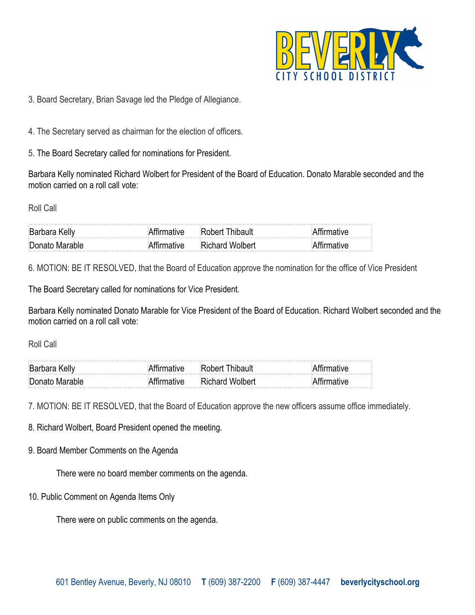

3. Board Secretary, Brian Savage led the Pledge of Allegiance.

4. The Secretary served as chairman for the election of officers.

5. The Board Secretary called for nominations for President.

Barbara Kelly nominated Richard Wolbert for President of the Board of Education. Donato Marable seconded and the motion carried on a roll call vote:

Roll Call

| <b>Barbara Kelly</b> | ,我们就是一个人的人,我们就是一个人的人,我们就是一个人的人,我们就是一个人的人,我们就是一个人的人,我们就是一个人的人,我们就是一个人的人,我们就是一个人的人 |  |
|----------------------|----------------------------------------------------------------------------------|--|
| Donato Marable       | <b>Richard Wolbert</b>                                                           |  |

6. MOTION: BE IT RESOLVED, that the Board of Education approve the nomination for the office of Vice President

The Board Secretary called for nominations for Vice President.

Barbara Kelly nominated Donato Marable for Vice President of the Board of Education. Richard Wolbert seconded and the motion carried on a roll call vote:

Roll Call

| <b>Barbara Kelly</b> | :Rohart I              |  |
|----------------------|------------------------|--|
| Donato Marable       | <b>Richard Wolbert</b> |  |

7. MOTION: BE IT RESOLVED, that the Board of Education approve the new officers assume office immediately.

8. Richard Wolbert, Board President opened the meeting.

9. Board Member Comments on the Agenda

There were no board member comments on the agenda.

10. Public Comment on Agenda Items Only

There were on public comments on the agenda.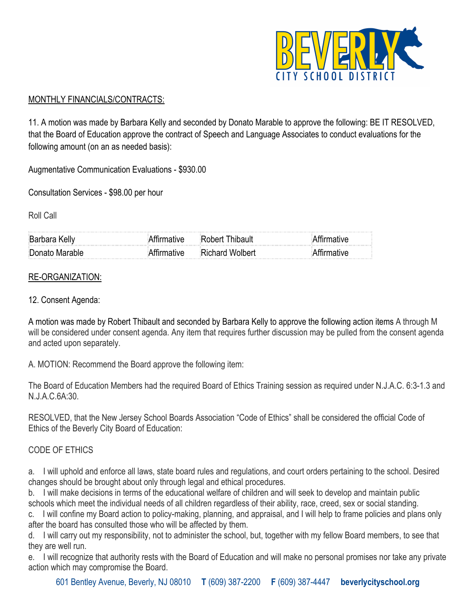

# MONTHLY FINANCIALS/CONTRACTS:

11. A motion was made by Barbara Kelly and seconded by Donato Marable to approve the following: BE IT RESOLVED, that the Board of Education approve the contract of Speech and Language Associates to conduct evaluations for the following amount (on an as needed basis):

Augmentative Communication Evaluations - \$930.00

Consultation Services - \$98.00 per hour

Roll Call

| Barbara Kelly  | Robert Thibault        |  |
|----------------|------------------------|--|
| Donato Marable | <b>Richard Wolbert</b> |  |

# RE-ORGANIZATION:

### 12. Consent Agenda:

A motion was made by Robert Thibault and seconded by Barbara Kelly to approve the following action items A through M will be considered under consent agenda. Any item that requires further discussion may be pulled from the consent agenda and acted upon separately.

A. MOTION: Recommend the Board approve the following item:

The Board of Education Members had the required Board of Ethics Training session as required under N.J.A.C. 6:3-1.3 and N.J.A.C.6A:30.

RESOLVED, that the New Jersey School Boards Association "Code of Ethics" shall be considered the official Code of Ethics of the Beverly City Board of Education:

# CODE OF ETHICS

a. I will uphold and enforce all laws, state board rules and regulations, and court orders pertaining to the school. Desired changes should be brought about only through legal and ethical procedures.

b. I will make decisions in terms of the educational welfare of children and will seek to develop and maintain public schools which meet the individual needs of all children regardless of their ability, race, creed, sex or social standing.

c. I will confine my Board action to policy-making, planning, and appraisal, and I will help to frame policies and plans only after the board has consulted those who will be affected by them.

d. I will carry out my responsibility, not to administer the school, but, together with my fellow Board members, to see that they are well run.

e. I will recognize that authority rests with the Board of Education and will make no personal promises nor take any private action which may compromise the Board.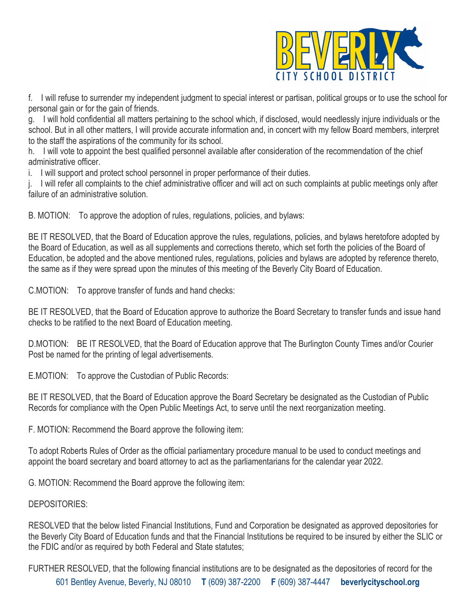

f. I will refuse to surrender my independent judgment to special interest or partisan, political groups or to use the school for personal gain or for the gain of friends.

g. I will hold confidential all matters pertaining to the school which, if disclosed, would needlessly injure individuals or the school. But in all other matters, I will provide accurate information and, in concert with my fellow Board members, interpret to the staff the aspirations of the community for its school.

h. I will vote to appoint the best qualified personnel available after consideration of the recommendation of the chief administrative officer.

i. I will support and protect school personnel in proper performance of their duties.

j. I will refer all complaints to the chief administrative officer and will act on such complaints at public meetings only after failure of an administrative solution.

B. MOTION: To approve the adoption of rules, regulations, policies, and bylaws:

BE IT RESOLVED, that the Board of Education approve the rules, regulations, policies, and bylaws heretofore adopted by the Board of Education, as well as all supplements and corrections thereto, which set forth the policies of the Board of Education, be adopted and the above mentioned rules, regulations, policies and bylaws are adopted by reference thereto, the same as if they were spread upon the minutes of this meeting of the Beverly City Board of Education.

C.MOTION: To approve transfer of funds and hand checks:

BE IT RESOLVED, that the Board of Education approve to authorize the Board Secretary to transfer funds and issue hand checks to be ratified to the next Board of Education meeting.

D.MOTION: BE IT RESOLVED, that the Board of Education approve that The Burlington County Times and/or Courier Post be named for the printing of legal advertisements.

E.MOTION: To approve the Custodian of Public Records:

BE IT RESOLVED, that the Board of Education approve the Board Secretary be designated as the Custodian of Public Records for compliance with the Open Public Meetings Act, to serve until the next reorganization meeting.

F. MOTION: Recommend the Board approve the following item:

To adopt Roberts Rules of Order as the official parliamentary procedure manual to be used to conduct meetings and appoint the board secretary and board attorney to act as the parliamentarians for the calendar year 2022.

G. MOTION: Recommend the Board approve the following item:

### DEPOSITORIES:

RESOLVED that the below listed Financial Institutions, Fund and Corporation be designated as approved depositories for the Beverly City Board of Education funds and that the Financial Institutions be required to be insured by either the SLIC or the FDIC and/or as required by both Federal and State statutes;

601 Bentley Avenue, Beverly, NJ 08010 **T** (609) 387-2200 **F** (609) 387-4447 **beverlycityschool.org** FURTHER RESOLVED, that the following financial institutions are to be designated as the depositories of record for the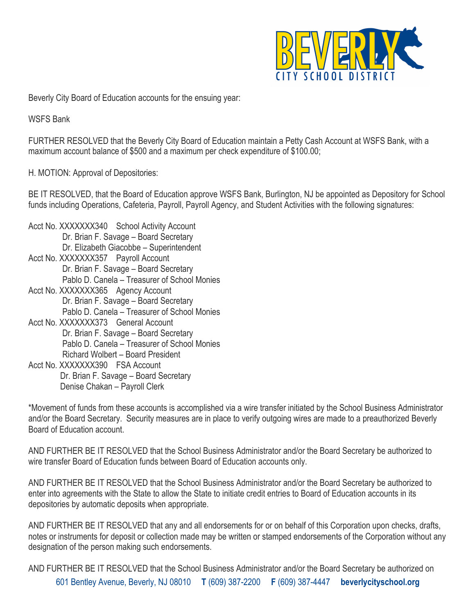

Beverly City Board of Education accounts for the ensuing year:

WSFS Bank

FURTHER RESOLVED that the Beverly City Board of Education maintain a Petty Cash Account at WSFS Bank, with a maximum account balance of \$500 and a maximum per check expenditure of \$100.00;

H. MOTION: Approval of Depositories:

BE IT RESOLVED, that the Board of Education approve WSFS Bank, Burlington, NJ be appointed as Depository for School funds including Operations, Cafeteria, Payroll, Payroll Agency, and Student Activities with the following signatures:

- Acct No. XXXXXXX340 School Activity Account Dr. Brian F. Savage – Board Secretary Dr. Elizabeth Giacobbe – Superintendent Acct No. XXXXXXX357 Payroll Account Dr. Brian F. Savage – Board Secretary Pablo D. Canela – Treasurer of School Monies Acct No. XXXXXXX365 Agency Account Dr. Brian F. Savage – Board Secretary Pablo D. Canela – Treasurer of School Monies Acct No. XXXXXXX373 General Account Dr. Brian F. Savage – Board Secretary Pablo D. Canela – Treasurer of School Monies Richard Wolbert – Board President
- Acct No. XXXXXXX390 FSA Account Dr. Brian F. Savage – Board Secretary Denise Chakan – Payroll Clerk

\*Movement of funds from these accounts is accomplished via a wire transfer initiated by the School Business Administrator and/or the Board Secretary. Security measures are in place to verify outgoing wires are made to a preauthorized Beverly Board of Education account.

AND FURTHER BE IT RESOLVED that the School Business Administrator and/or the Board Secretary be authorized to wire transfer Board of Education funds between Board of Education accounts only.

AND FURTHER BE IT RESOLVED that the School Business Administrator and/or the Board Secretary be authorized to enter into agreements with the State to allow the State to initiate credit entries to Board of Education accounts in its depositories by automatic deposits when appropriate.

AND FURTHER BE IT RESOLVED that any and all endorsements for or on behalf of this Corporation upon checks, drafts, notes or instruments for deposit or collection made may be written or stamped endorsements of the Corporation without any designation of the person making such endorsements.

601 Bentley Avenue, Beverly, NJ 08010 **T** (609) 387-2200 **F** (609) 387-4447 **beverlycityschool.org** AND FURTHER BE IT RESOLVED that the School Business Administrator and/or the Board Secretary be authorized on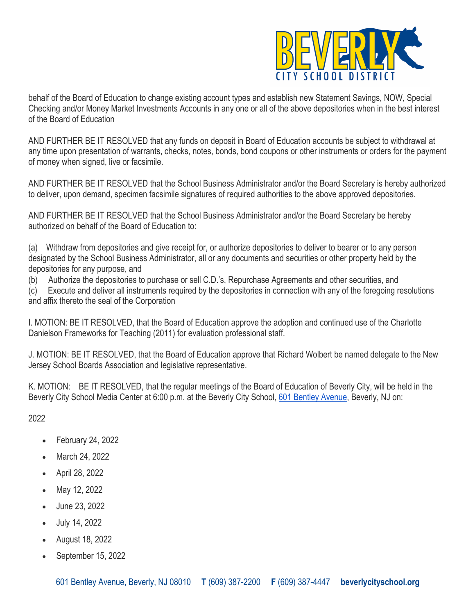

behalf of the Board of Education to change existing account types and establish new Statement Savings, NOW, Special Checking and/or Money Market Investments Accounts in any one or all of the above depositories when in the best interest of the Board of Education

AND FURTHER BE IT RESOLVED that any funds on deposit in Board of Education accounts be subject to withdrawal at any time upon presentation of warrants, checks, notes, bonds, bond coupons or other instruments or orders for the payment of money when signed, live or facsimile.

AND FURTHER BE IT RESOLVED that the School Business Administrator and/or the Board Secretary is hereby authorized to deliver, upon demand, specimen facsimile signatures of required authorities to the above approved depositories.

AND FURTHER BE IT RESOLVED that the School Business Administrator and/or the Board Secretary be hereby authorized on behalf of the Board of Education to:

(a) Withdraw from depositories and give receipt for, or authorize depositories to deliver to bearer or to any person designated by the School Business Administrator, all or any documents and securities or other property held by the depositories for any purpose, and

(b) Authorize the depositories to purchase or sell C.D.'s, Repurchase Agreements and other securities, and

(c) Execute and deliver all instruments required by the depositories in connection with any of the foregoing resolutions and affix thereto the seal of the Corporation

I. MOTION: BE IT RESOLVED, that the Board of Education approve the adoption and continued use of the Charlotte Danielson Frameworks for Teaching (2011) for evaluation professional staff.

J. MOTION: BE IT RESOLVED, that the Board of Education approve that Richard Wolbert be named delegate to the New Jersey School Boards Association and legislative representative.

K. MOTION: BE IT RESOLVED, that the regular meetings of the Board of Education of Beverly City, will be held in the Beverly City School Media Center at 6:00 p.m. at the Beverly City School, 601 Bentley Avenue, Beverly, NJ on:

2022

- February 24, 2022
- March 24, 2022
- April 28, 2022
- May 12, 2022
- June 23, 2022
- July 14, 2022
- August 18, 2022
- September 15, 2022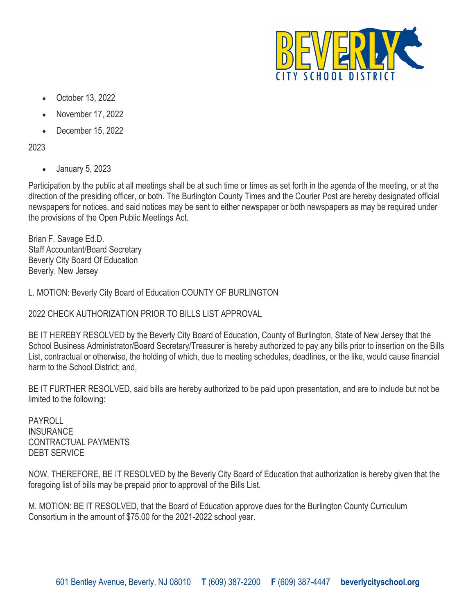

- October 13, 2022
- November 17, 2022
- December 15, 2022

2023

• January 5, 2023

Participation by the public at all meetings shall be at such time or times as set forth in the agenda of the meeting, or at the direction of the presiding officer, or both. The Burlington County Times and the Courier Post are hereby designated official newspapers for notices, and said notices may be sent to either newspaper or both newspapers as may be required under the provisions of the Open Public Meetings Act.

Brian F. Savage Ed.D. Staff Accountant/Board Secretary Beverly City Board Of Education Beverly, New Jersey

L. MOTION: Beverly City Board of Education COUNTY OF BURLINGTON

2022 CHECK AUTHORIZATION PRIOR TO BILLS LIST APPROVAL

BE IT HEREBY RESOLVED by the Beverly City Board of Education, County of Burlington, State of New Jersey that the School Business Administrator/Board Secretary/Treasurer is hereby authorized to pay any bills prior to insertion on the Bills List, contractual or otherwise, the holding of which, due to meeting schedules, deadlines, or the like, would cause financial harm to the School District; and,

BE IT FURTHER RESOLVED, said bills are hereby authorized to be paid upon presentation, and are to include but not be limited to the following:

PAYROLL **INSURANCE** CONTRACTUAL PAYMENTS DEBT SERVICE

NOW, THEREFORE, BE IT RESOLVED by the Beverly City Board of Education that authorization is hereby given that the foregoing list of bills may be prepaid prior to approval of the Bills List.

M. MOTION: BE IT RESOLVED, that the Board of Education approve dues for the Burlington County Curriculum Consortium in the amount of \$75.00 for the 2021-2022 school year.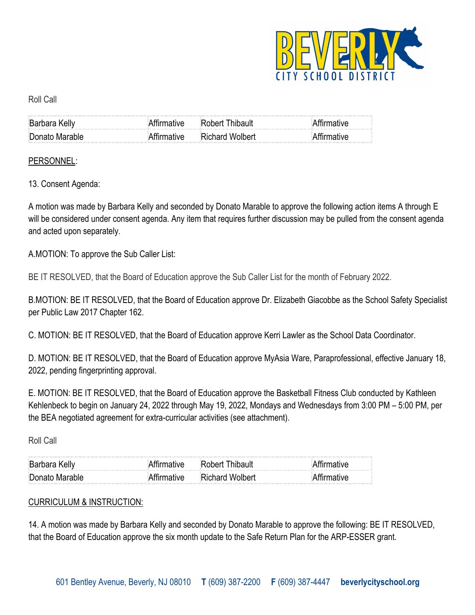

### Roll Call

| <b>Barbara Kelly</b> | $\sim$ 100 $\sim$ 100 $\sim$ 100 $\sim$ 100 $\sim$ 100 $\sim$ 100 $\sim$ 100 $\sim$ 100 $\sim$ 100 $\sim$ 100 $\sim$ 100 $\sim$ 100 $\sim$ 100 $\sim$ 100 $\sim$ 100 $\sim$ 100 $\sim$ 100 $\sim$ 100 $\sim$ 100 $\sim$ 100 $\sim$ 100 $\sim$ 100 $\sim$ 100 $\sim$ 100 $\sim$<br>Robert Thibault |  |
|----------------------|---------------------------------------------------------------------------------------------------------------------------------------------------------------------------------------------------------------------------------------------------------------------------------------------------|--|
| Donato Marable       | <b>Richard Wolbert</b>                                                                                                                                                                                                                                                                            |  |

### PERSONNEL:

13. Consent Agenda:

A motion was made by Barbara Kelly and seconded by Donato Marable to approve the following action items A through E will be considered under consent agenda. Any item that requires further discussion may be pulled from the consent agenda and acted upon separately.

A.MOTION: To approve the Sub Caller List:

BE IT RESOLVED, that the Board of Education approve the Sub Caller List for the month of February 2022.

B.MOTION: BE IT RESOLVED, that the Board of Education approve Dr. Elizabeth Giacobbe as the School Safety Specialist per Public Law 2017 Chapter 162.

C. MOTION: BE IT RESOLVED, that the Board of Education approve Kerri Lawler as the School Data Coordinator.

D. MOTION: BE IT RESOLVED, that the Board of Education approve MyAsia Ware, Paraprofessional, effective January 18, 2022, pending fingerprinting approval.

E. MOTION: BE IT RESOLVED, that the Board of Education approve the Basketball Fitness Club conducted by Kathleen Kehlenbeck to begin on January 24, 2022 through May 19, 2022, Mondays and Wednesdays from 3:00 PM – 5:00 PM, per the BEA negotiated agreement for extra-curricular activities (see attachment).

Roll Call

| <b>Barbara Kelly</b> |        | Thibault<br>∵R∩h≙rt    |  |
|----------------------|--------|------------------------|--|
| Donato Marable       | ™ative | <b>Richard Wolbert</b> |  |

### CURRICULUM & INSTRUCTION:

14. A motion was made by Barbara Kelly and seconded by Donato Marable to approve the following: BE IT RESOLVED, that the Board of Education approve the six month update to the Safe Return Plan for the ARP-ESSER grant.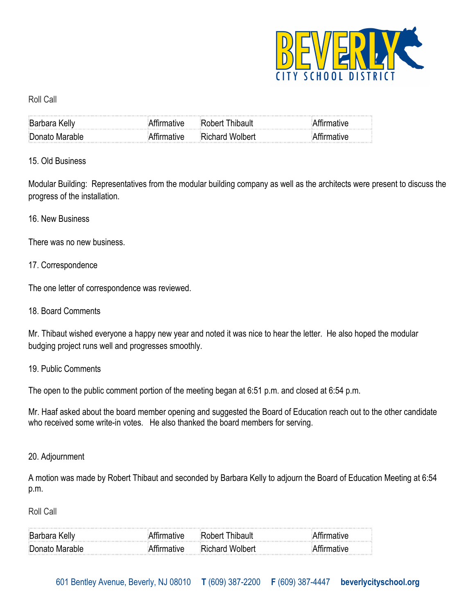

### Roll Call

| <b>Barbara Kelly</b> | <b>Thibault</b><br>∷Rohert I |  |
|----------------------|------------------------------|--|
| Donato Marable       | <b>Richard Wolbert</b>       |  |

## 15. Old Business

Modular Building: Representatives from the modular building company as well as the architects were present to discuss the progress of the installation.

### 16. New Business

There was no new business.

## 17. Correspondence

The one letter of correspondence was reviewed.

18. Board Comments

Mr. Thibaut wished everyone a happy new year and noted it was nice to hear the letter. He also hoped the modular budging project runs well and progresses smoothly.

### 19. Public Comments

The open to the public comment portion of the meeting began at 6:51 p.m. and closed at 6:54 p.m.

Mr. Haaf asked about the board member opening and suggested the Board of Education reach out to the other candidate who received some write-in votes. He also thanked the board members for serving.

### 20. Adjournment

A motion was made by Robert Thibaut and seconded by Barbara Kelly to adjourn the Board of Education Meeting at 6:54 p.m.

Roll Call

| :Rarbara Kelly<br>a construction of the construction of the construction of the construction of the construction of the construction of the construction of the construction of the construction of the construction of the construction of the | <u>A series of the series of the series of the series of the series of the series of the series of the series of the series of the series of the series of the series of the series of the series of the series of the series of</u> |  |
|-------------------------------------------------------------------------------------------------------------------------------------------------------------------------------------------------------------------------------------------------|--------------------------------------------------------------------------------------------------------------------------------------------------------------------------------------------------------------------------------------|--|
| Donato Marable<br>ملما مورم الشر                                                                                                                                                                                                                | ∍Richard Wolbert                                                                                                                                                                                                                     |  |